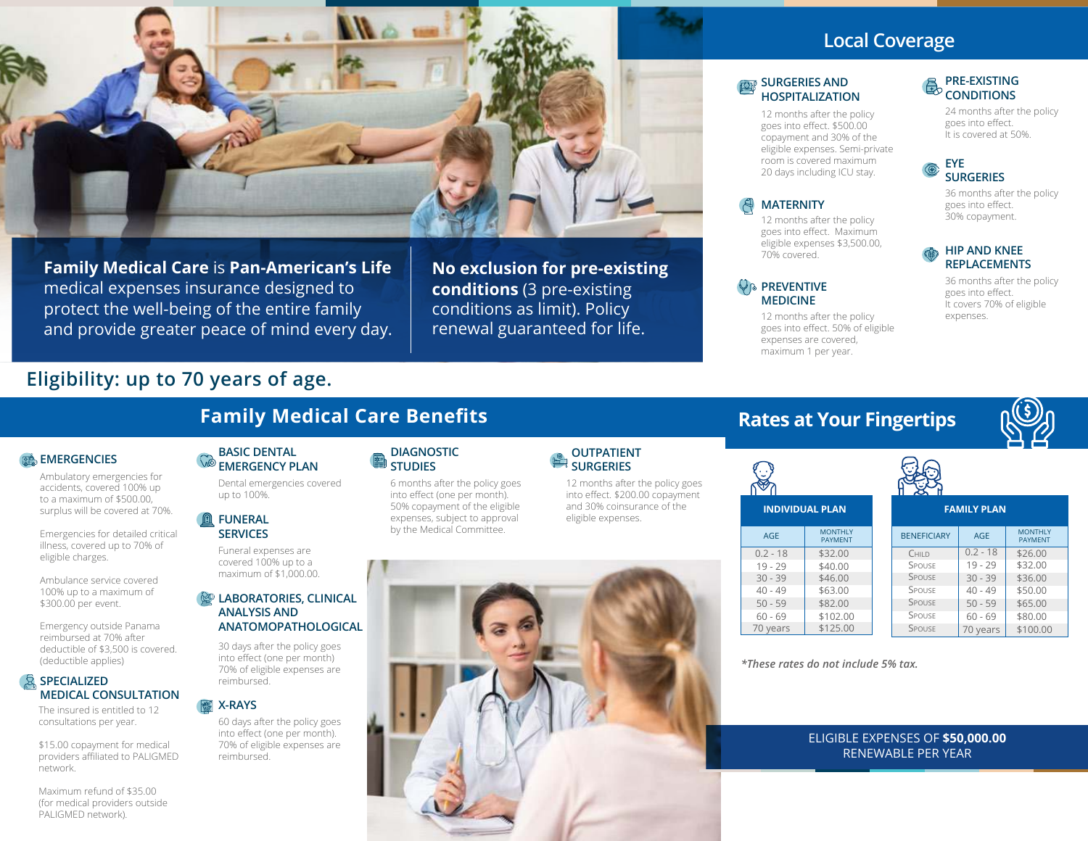

 **Family Medical Care Benefits**

**Family Medical Care** is **Pan-American's Life** medical expenses insurance designed to protect the well-being of the entire family and provide greater peace of mind every day. **No exclusion for pre-existing conditions** (3 pre-existing conditions as limit). Policy renewal guaranteed for life.

# **Local Coverage**

#### **SURGERIES AND HOSPITALIZATION**

12 months after the policy goes into effect. \$500.00 copayment and 30% of the eligible expenses. Semi-private room is covered maximum 20 days including ICU stay.

### **MATERNITY**

12 months after the policy goes into effect. Maximum eligible expenses \$3,500.00, 70% covered.

#### *<b>PREVENTIVE* **MEDICINE**

12 months after the policy goes into effect. 50% of eligible expenses are covered, maximum 1 per year.

#### **PRE-EXISTING CONDITIONS**

24 months after the policy goes into effect. It is covered at 50%.

#### **EYE SURGERIES**

36 months after the policy goes into effect. 30% copayment.

#### **HIP AND KNEE REPLACEMENTS**

36 months after the policy goes into effect. It covers 70% of eligible expenses.

# **Eligibility: up to 70 years of age.**

## **EMERGENCIES**

Ambulatory emergencies for accidents, covered 100% up to a maximum of \$500.00, surplus will be covered at 70%.

Emergencies for detailed critical illness, covered up to 70% of eligible charges.

Ambulance service covered 100% up to a maximum of \$300.00 per event.

Emergency outside Panama reimbursed at 70% after deductible of \$3,500 is covered. (deductible applies)

#### **SPECIALIZED MEDICAL CONSULTATION**

The insured is entitled to 12 consultations per year.

\$15.00 copayment for medical providers affiliated to PALIGMED network.

Maximum refund of \$35.00 (for medical providers outside PALIGMED network).

#### **BASIC DENTAL EMERGENCY PLAN**

Dental emergencies covered up to 100%.

#### **FUNERAL SERVICES**

Funeral expenses are covered 100% up to a maximum of \$1,000.00.

#### **LABORATORIES, CLINICAL ANALYSIS AND ANATOMOPATHOLOGICAL**

30 days after the policy goes into effect (one per month) 70% of eligible expenses are reimbursed.

#### **X-RAYS**

60 days after the policy goes into effect (one per month). 70% of eligible expenses are reimbursed.

#### **DIAGNOSTIC STUDIES**

6 months after the policy goes into effect (one per month). 50% copayment of the eligible expenses, subject to approval by the Medical Committee.

### **OUTPATIENT SURGERIES**

12 months after the policy goes into effect. \$200.00 copayment and 30% coinsurance of the eligible expenses.



# **Rate**



|  | es at Your Fingertips |  |
|--|-----------------------|--|
|  |                       |  |



| <b>X</b>           |            |                                  |  |
|--------------------|------------|----------------------------------|--|
| <b>FAMILY PLAN</b> |            |                                  |  |
| <b>BENEFICIARY</b> | AGE        | <b>MONTHIY</b><br><b>PAYMENT</b> |  |
| CHII D             | $0.2 - 18$ | \$26.00                          |  |
| SPOUSE             | $19 - 29$  | \$32.00                          |  |
| SPOUSE             | $30 - 39$  | \$36.00                          |  |
| SPOUSE             | $40 - 49$  | \$50.00                          |  |
| SPOUSE             | $50 - 59$  | \$65.00                          |  |
| SPOUSE             | $60 - 69$  | \$80.00                          |  |
| SPOUSE             | 70 vears   | \$100.00                         |  |

*\*These rates do not include 5% tax.*

\$32.00 \$40.00 \$46.00 \$63.00 \$82.00 \$102.00 \$125.00

**MONTHLY** PAYMENT

**INDIVIDUAL PLAN** 

AGE  $0.2 - 18$ 19 - 29 30 - 39 40 - 49 50 - 59 60 - 69 70 years

### ELIGIBLE EXPENSES OF **\$50,000.00** RENEWABLE PER YEAR